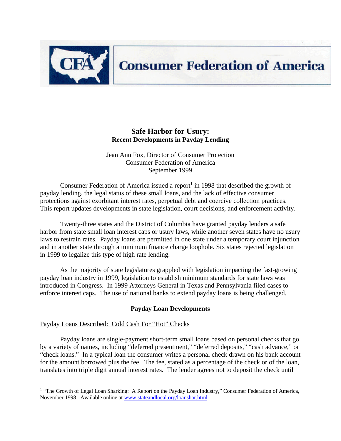

# **Consumer Federation of America**

# **Safe Harbor for Usury: Recent Developments in Payday Lending**

Jean Ann Fox, Director of Consumer Protection Consumer Federation of America September 1999

Consumer Federation of America issued a report<sup>1</sup> in 1998 that described the growth of payday lending, the legal status of these small loans, and the lack of effective consumer protections against exorbitant interest rates, perpetual debt and coercive collection practices. This report updates developments in state legislation, court decisions, and enforcement activity.

Twenty-three states and the District of Columbia have granted payday lenders a safe harbor from state small loan interest caps or usury laws, while another seven states have no usury laws to restrain rates. Payday loans are permitted in one state under a temporary court injunction and in another state through a minimum finance charge loophole. Six states rejected legislation in 1999 to legalize this type of high rate lending.

As the majority of state legislatures grappled with legislation impacting the fast-growing payday loan industry in 1999, legislation to establish minimum standards for state laws was introduced in Congress. In 1999 Attorneys General in Texas and Pennsylvania filed cases to enforce interest caps. The use of national banks to extend payday loans is being challenged.

# **Payday Loan Developments**

# Payday Loans Described: Cold Cash For "Hot" Checks

Payday loans are single-payment short-term small loans based on personal checks that go by a variety of names, including "deferred presentment," "deferred deposits," "cash advance," or "check loans." In a typical loan the consumer writes a personal check drawn on his bank account for the amount borrowed plus the fee. The fee, stated as a percentage of the check or of the loan, translates into triple digit annual interest rates. The lender agrees not to deposit the check until

<sup>&</sup>lt;sup>1</sup> "The Growth of Legal Loan Sharking: A Report on the Payday Loan Industry," Consumer Federation of America, November 1998. Available online at www.stateandlocal.org/loanshar.html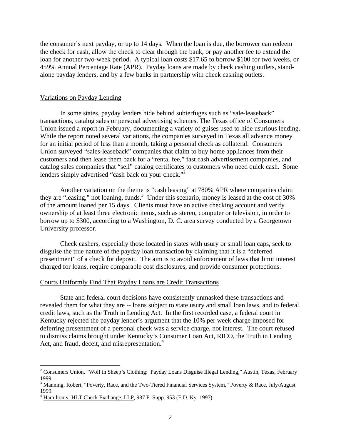the consumer's next payday, or up to 14 days. When the loan is due, the borrower can redeem the check for cash, allow the check to clear through the bank, or pay another fee to extend the loan for another two-week period. A typical loan costs \$17.65 to borrow \$100 for two weeks, or 459% Annual Percentage Rate (APR). Payday loans are made by check cashing outlets, standalone payday lenders, and by a few banks in partnership with check cashing outlets.

## Variations on Payday Lending

In some states, payday lenders hide behind subterfuges such as "sale-leaseback" transactions, catalog sales or personal advertising schemes. The Texas office of Consumers Union issued a report in February, documenting a variety of guises used to hide usurious lending. While the report noted several variations, the companies surveyed in Texas all advance money for an initial period of less than a month, taking a personal check as collateral. Consumers Union surveyed "sales-leaseback" companies that claim to buy home appliances from their customers and then lease them back for a "rental fee," fast cash advertisement companies, and catalog sales companies that "sell" catalog certificates to customers who need quick cash. Some lenders simply advertised "cash back on your check."<sup>2</sup>

Another variation on the theme is "cash leasing" at 780% APR where companies claim they are "leasing," not loaning, funds.<sup>3</sup> Under this scenario, money is leased at the cost of 30% of the amount loaned per 15 days. Clients must have an active checking account and verify ownership of at least three electronic items, such as stereo, computer or television, in order to borrow up to \$300, according to a Washington, D. C. area survey conducted by a Georgetown University professor.

Check cashers, especially those located in states with usury or small loan caps, seek to disguise the true nature of the payday loan transaction by claiming that it is a "deferred presentment" of a check for deposit. The aim is to avoid enforcement of laws that limit interest charged for loans, require comparable cost disclosures, and provide consumer protections.

# Courts Uniformly Find That Payday Loans are Credit Transactions

State and federal court decisions have consistently unmasked these transactions and revealed them for what they are -- loans subject to state usury and small loan laws, and to federal credit laws, such as the Truth in Lending Act. In the first recorded case, a federal court in Kentucky rejected the payday lender's argument that the 10% per week charge imposed for deferring presentment of a personal check was a service charge, not interest. The court refused to dismiss claims brought under Kentucky's Consumer Loan Act, RICO, the Truth in Lending Act, and fraud, deceit, and misrepresentation.<sup>4</sup>

<sup>&</sup>lt;sup>2</sup> Consumers Union, "Wolf in Sheep's Clothing: Payday Loans Disguise Illegal Lending," Austin, Texas, February 1999.

<sup>&</sup>lt;sup>3</sup> Manning, Robert, "Poverty, Race, and the Two-Tiered Financial Services System," Poverty & Race, July/August 1999.

<sup>4</sup> Hamilton v. HLT Check Exchange, LLP, 987 F. Supp. 953 (E.D. Ky. 1997).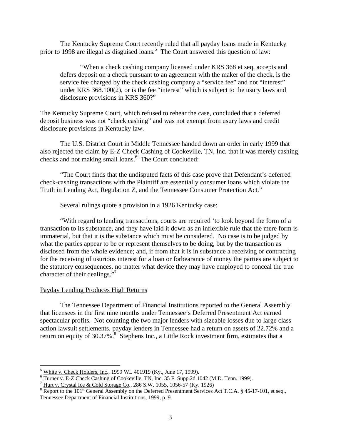The Kentucky Supreme Court recently ruled that all payday loans made in Kentucky prior to 1998 are illegal as disguised loans.<sup>5</sup> The Court answered this question of law:

"When a check cashing company licensed under KRS 368 et seq. accepts and defers deposit on a check pursuant to an agreement with the maker of the check, is the service fee charged by the check cashing company a "service fee" and not "interest" under KRS 368.100(2), or is the fee "interest" which is subject to the usury laws and disclosure provisions in KRS 360?"

The Kentucky Supreme Court, which refused to rehear the case, concluded that a deferred deposit business was not "check cashing" and was not exempt from usury laws and credit disclosure provisions in Kentucky law.

The U.S. District Court in Middle Tennessee handed down an order in early 1999 that also rejected the claim by E-Z Check Cashing of Cookeville, TN, Inc. that it was merely cashing checks and not making small loans.<sup>6</sup> The Court concluded:

"The Court finds that the undisputed facts of this case prove that Defendant's deferred check-cashing transactions with the Plaintiff are essentially consumer loans which violate the Truth in Lending Act, Regulation Z, and the Tennessee Consumer Protection Act."

Several rulings quote a provision in a 1926 Kentucky case:

"With regard to lending transactions, courts are required 'to look beyond the form of a transaction to its substance, and they have laid it down as an inflexible rule that the mere form is immaterial, but that it is the substance which must be considered. No case is to be judged by what the parties appear to be or represent themselves to be doing, but by the transaction as disclosed from the whole evidence; and, if from that it is in substance a receiving or contracting for the receiving of usurious interest for a loan or forbearance of money the parties are subject to the statutory consequences, no matter what device they may have employed to conceal the true character of their dealings."<sup>7</sup>

# Payday Lending Produces High Returns

The Tennessee Department of Financial Institutions reported to the General Assembly that licensees in the first nine months under Tennessee's Deferred Presentment Act earned spectacular profits. Not counting the two major lenders with sizeable losses due to large class action lawsuit settlements, payday lenders in Tennessee had a return on assets of 22.72% and a return on equity of 30.37%.<sup>8</sup> Stephens Inc., a Little Rock investment firm, estimates that a

 $\overline{a}$ <sup>5</sup> White v. Check Holders, Inc., 1999 WL 401919 (Ky., June 17, 1999).

<sup>&</sup>lt;sup>6</sup> Turner v. E-Z Check Cashing of Cookeville, TN, Inc. 35 F. Supp.2d 1042 (M.D. Tenn. 1999).

Hurt v. Crystal Ice & Cold Storage Co., 286 S.W. 1055, 1056-57 (Ky. 1926)

<sup>&</sup>lt;sup>8</sup> Report to the 101<sup>st</sup> General Assembly on the Deferred Presentment Services Act T.C.A. § 45-17-101, et seq., Tennessee Department of Financial Institutions, 1999, p. 9.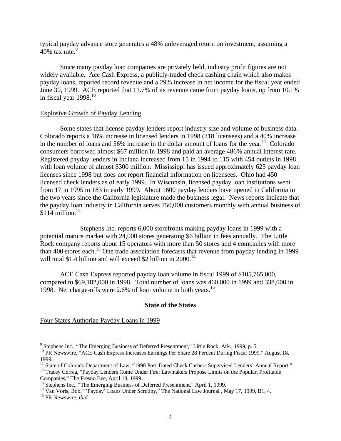typical payday advance store generates a 48% unleveraged return on investment, assuming a 40% tax rate. $9$ 

Since many payday loan companies are privately held, industry profit figures are not widely available. Ace Cash Express, a publicly-traded check cashing chain which also makes payday loans, reported record revenue and a 29% increase in net income for the fiscal year ended June 30, 1999. ACE reported that 11.7% of its revenue came from payday loans, up from 10.1% in fiscal year  $1998$ <sup>10</sup>

## Explosive Growth of Payday Lending

Some states that license payday lenders report industry size and volume of business data. Colorado reports a 16% increase in licensed lenders in 1998 (218 licensees) and a 40% increase in the number of loans and 56% increase in the dollar amount of loans for the year.<sup>11</sup> Colorado consumers borrowed almost \$67 million in 1998 and paid an average 486% annual interest rate. Registered payday lenders in Indiana increased from 15 in 1994 to 115 with 454 outlets in 1998 with loan volume of almost \$300 million. Mississippi has issued approximately 625 payday loan licenses since 1998 but does not report financial information on licensees. Ohio had 450 licensed check lenders as of early 1999. In Wisconsin, licensed payday loan institutions went from 17 in 1995 to 183 in early 1999. About 1600 payday lenders have opened in California in the two years since the California legislature made the business legal. News reports indicate that the payday loan industry in California serves 750,000 customers monthly with annual business of  $$114$  million.<sup>12</sup>

Stephens Inc. reports 6,000 storefronts making payday loans in 1999 with a potential mature market with 24,000 stores generating \$6 billion in fees annually. The Little Rock company reports about 15 operators with more than 50 stores and 4 companies with more than 400 stores each.<sup>13</sup> One trade association forecasts that revenue from payday lending in 1999 will total \$1.4 billion and will exceed \$2 billion in  $2000$ .<sup>14</sup>

ACE Cash Express reported payday loan volume in fiscal 1999 of \$105,765,000, compared to \$69,182,000 in 1998. Total number of loans was 460,000 in 1999 and 338,000 in 1998. Net charge-offs were 2.6% of loan volume in both years.<sup>15</sup>

# **State of the States**

Four States Authorize Payday Loans in 1999

<sup>&</sup>lt;sup>9</sup> Stephens Inc., "The Emerging Business of Deferred Presentment," Little Rock, Ark., 1999, p. 5.

<sup>&</sup>lt;sup>10</sup> PR Newswire, "ACE Cash Express Increases Earnings Per Share 28 Percent During Fiscal 1999," August 18, 1999.

<sup>&</sup>lt;sup>11</sup> State of Colorado Department of Law, "1998 Post-Dated Check Cashers Supervised Lenders' Annual Report."

<sup>&</sup>lt;sup>12</sup> Tracey Correa, "Payday Lenders Come Under Fire; Lawmakers Propose Limits on the Popular, Profitable Companies," The Fresno Bee, April 18, 1999.

<sup>&</sup>lt;sup>13</sup> Stephens Inc., "The Emerging Business of Deferred Presentment," April 1, 1999.

<sup>&</sup>lt;sup>14</sup> Van Voris, Bob, "'Payday' Loans Under Scrutiny," The National Law Journal , May 17, 1999, B1, 4.

<sup>15</sup> PR Newswire, *ibid.*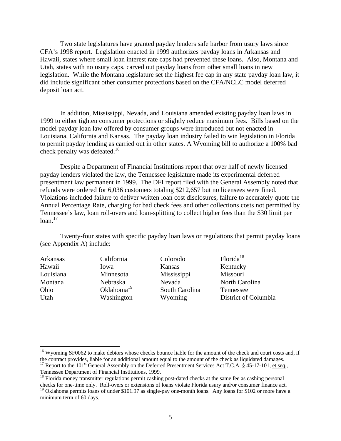Two state legislatures have granted payday lenders safe harbor from usury laws since CFA's 1998 report. Legislation enacted in 1999 authorizes payday loans in Arkansas and Hawaii, states where small loan interest rate caps had prevented these loans. Also, Montana and Utah, states with no usury caps, carved out payday loans from other small loans in new legislation. While the Montana legislature set the highest fee cap in any state payday loan law, it did include significant other consumer protections based on the CFA/NCLC model deferred deposit loan act.

In addition, Mississippi, Nevada, and Louisiana amended existing payday loan laws in 1999 to either tighten consumer protections or slightly reduce maximum fees. Bills based on the model payday loan law offered by consumer groups were introduced but not enacted in Louisiana, California and Kansas. The payday loan industry failed to win legislation in Florida to permit payday lending as carried out in other states. A Wyoming bill to authorize a 100% bad check penalty was defeated.<sup>16</sup>

Despite a Department of Financial Institutions report that over half of newly licensed payday lenders violated the law, the Tennessee legislature made its experimental deferred presentment law permanent in 1999. The DFI report filed with the General Assembly noted that refunds were ordered for 6,036 customers totaling \$212,657 but no licensees were fined. Violations included failure to deliver written loan cost disclosures, failure to accurately quote the Annual Percentage Rate, charging for bad check fees and other collections costs not permitted by Tennessee's law, loan roll-overs and loan-splitting to collect higher fees than the \$30 limit per  $loan.<sup>17</sup>$ 

Twenty-four states with specific payday loan laws or regulations that permit payday loans (see Appendix A) include:

| California             | Colorado       | Florida <sup>18</sup> |
|------------------------|----------------|-----------------------|
| Iowa                   | Kansas         | Kentucky              |
| Minnesota              | Mississippi    | Missouri              |
| Nebraska               | Nevada         | North Carolina        |
| Oklahoma <sup>19</sup> | South Carolina | Tennessee             |
| Washington             | Wyoming        | District of Columbia  |
|                        |                |                       |

<u>.</u>

<sup>&</sup>lt;sup>16</sup> Wyoming SF0062 to make debtors whose checks bounce liable for the amount of the check and court costs and, if the contract provides, liable for an additional amount equal to the amount of the check as liquidated damages.

<sup>&</sup>lt;sup>17</sup> Report to the 101<sup>st</sup> General Assembly on the Deferred Presentment Services Act T.C.A. § 45-17-101, et seq., Tennessee Department of Financial Institutions, 1999.

<sup>&</sup>lt;sup>18</sup> Florida money transmitter regulations permit cashing post-dated checks at the same fee as cashing personal checks for one-time only. Roll-overs or extensions of loans violate Florida usury and/or consumer finance act.

<sup>&</sup>lt;sup>19</sup> Oklahoma permits loans of under \$101.97 as single-pay one-month loans. Any loans for \$102 or more have a minimum term of 60 days.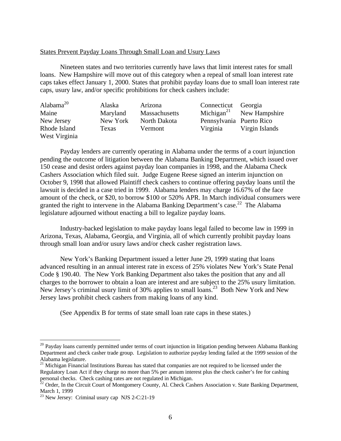# States Prevent Payday Loans Through Small Loan and Usury Laws

Nineteen states and two territories currently have laws that limit interest rates for small loans. New Hampshire will move out of this category when a repeal of small loan interest rate caps takes effect January 1, 2000. States that prohibit payday loans due to small loan interest rate caps, usury law, and/or specific prohibitions for check cashers include:

| Alabama $^{20}$               | Alaska   | Arizona       | Connecticut Georgia      |                |
|-------------------------------|----------|---------------|--------------------------|----------------|
| Maine                         | Maryland | Massachusetts | Michigan <sup>21</sup>   | New Hampshire  |
| New Jersey                    | New York | North Dakota  | Pennsylvania Puerto Rico |                |
| Rhode Island<br>West Virginia | Texas    | Vermont       | Virginia                 | Virgin Islands |

Payday lenders are currently operating in Alabama under the terms of a court injunction pending the outcome of litigation between the Alabama Banking Department, which issued over 150 cease and desist orders against payday loan companies in 1998, and the Alabama Check Cashers Association which filed suit. Judge Eugene Reese signed an interim injunction on October 9, 1998 that allowed Plaintiff check cashers to continue offering payday loans until the lawsuit is decided in a case tried in 1999. Alabama lenders may charge 16.67% of the face amount of the check, or \$20, to borrow \$100 or 520% APR. In March individual consumers were granted the right to intervene in the Alabama Banking Department's case.<sup>22</sup> The Alabama legislature adjourned without enacting a bill to legalize payday loans.

Industry-backed legislation to make payday loans legal failed to become law in 1999 in Arizona, Texas, Alabama, Georgia, and Virginia, all of which currently prohibit payday loans through small loan and/or usury laws and/or check casher registration laws.

New York's Banking Department issued a letter June 29, 1999 stating that loans advanced resulting in an annual interest rate in excess of 25% violates New York's State Penal Code § 190.40. The New York Banking Department also takes the position that any and all charges to the borrower to obtain a loan are interest and are subject to the 25% usury limitation. New Jersey's criminal usury limit of 30% applies to small loans.<sup>23</sup> Both New York and New Jersey laws prohibit check cashers from making loans of any kind.

(See Appendix B for terms of state small loan rate caps in these states.)

<sup>&</sup>lt;sup>20</sup> Payday loans currently permitted under terms of court injunction in litigation pending between Alabama Banking Department and check casher trade group. Legislation to authorize payday lending failed at the 1999 session of the Alabama legislature.

<sup>&</sup>lt;sup>21</sup> Michigan Financial Institutions Bureau has stated that companies are not required to be licensed under the Regulatory Loan Act if they charge no more than 5% per annum interest plus the check casher's fee for cashing personal checks. Check cashing rates are not regulated in Michigan.

 $^{22}$  Order, In the Circuit Court of Montgomery County, Al. Check Cashers Association v. State Banking Department, March 1, 1999

 $2<sup>23</sup>$  New Jersey: Criminal usury cap NJS 2-C:21-19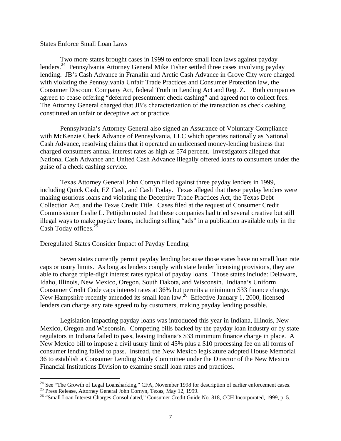## States Enforce Small Loan Laws

Two more states brought cases in 1999 to enforce small loan laws against payday lenders.<sup>24</sup> Pennsylvania Attorney General Mike Fisher settled three cases involving payday lending. JB's Cash Advance in Franklin and Arctic Cash Advance in Grove City were charged with violating the Pennsylvania Unfair Trade Practices and Consumer Protection law, the Consumer Discount Company Act, federal Truth in Lending Act and Reg. Z. Both companies agreed to cease offering "deferred presentment check cashing" and agreed not to collect fees. The Attorney General charged that JB's characterization of the transaction as check cashing constituted an unfair or deceptive act or practice.

Pennsylvania's Attorney General also signed an Assurance of Voluntary Compliance with McKenzie Check Advance of Pennsylvania, LLC which operates nationally as National Cash Advance, resolving claims that it operated an unlicensed money-lending business that charged consumers annual interest rates as high as 574 percent. Investigators alleged that National Cash Advance and United Cash Advance illegally offered loans to consumers under the guise of a check cashing service.

Texas Attorney General John Cornyn filed against three payday lenders in 1999, including Quick Cash, EZ Cash, and Cash Today. Texas alleged that these payday lenders were making usurious loans and violating the Deceptive Trade Practices Act, the Texas Debt Collection Act, and the Texas Credit Title. Cases filed at the request of Consumer Credit Commissioner Leslie L. Pettijohn noted that these companies had tried several creative but still illegal ways to make payday loans, including selling "ads" in a publication available only in the Cash Today offices.<sup>25</sup>

## Deregulated States Consider Impact of Payday Lending

Seven states currently permit payday lending because those states have no small loan rate caps or usury limits. As long as lenders comply with state lender licensing provisions, they are able to charge triple-digit interest rates typical of payday loans. Those states include: Delaware, Idaho, Illinois, New Mexico, Oregon, South Dakota, and Wisconsin. Indiana's Uniform Consumer Credit Code caps interest rates at 36% but permits a minimum \$33 finance charge. New Hampshire recently amended its small loan law.<sup>26</sup> Effective January 1, 2000, licensed lenders can charge any rate agreed to by customers, making payday lending possible.

Legislation impacting payday loans was introduced this year in Indiana, Illinois, New Mexico, Oregon and Wisconsin. Competing bills backed by the payday loan industry or by state regulators in Indiana failed to pass, leaving Indiana's \$33 minimum finance charge in place. A New Mexico bill to impose a civil usury limit of 45% plus a \$10 processing fee on all forms of consumer lending failed to pass. Instead, the New Mexico legislature adopted House Memorial 36 to establish a Consumer Lending Study Committee under the Director of the New Mexico Financial Institutions Division to examine small loan rates and practices.

 $24$  See "The Growth of Legal Loansharking," CFA, November 1998 for description of earlier enforcement cases.

<sup>&</sup>lt;sup>25</sup> Press Release, Attorney General John Cornyn, Texas, May 12, 1999.

<sup>&</sup>lt;sup>26</sup> "Small Loan Interest Charges Consolidated," Consumer Credit Guide No. 818, CCH Incorporated, 1999, p. 5.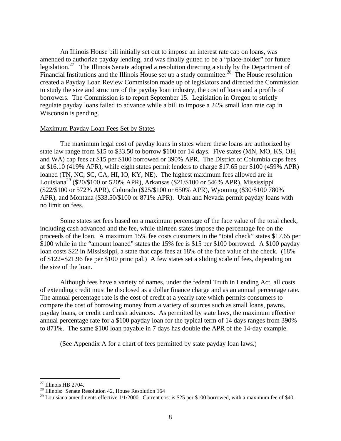An Illinois House bill initially set out to impose an interest rate cap on loans, was amended to authorize payday lending, and was finally gutted to be a "place-holder" for future legislation.<sup>27</sup> The Illinois Senate adopted a resolution directing a study by the Department of Financial Institutions and the Illinois House set up a study committee.<sup>28</sup> The House resolution created a Payday Loan Review Commission made up of legislators and directed the Commission to study the size and structure of the payday loan industry, the cost of loans and a profile of borrowers. The Commission is to report September 15. Legislation in Oregon to strictly regulate payday loans failed to advance while a bill to impose a 24% small loan rate cap in Wisconsin is pending.

# Maximum Payday Loan Fees Set by States

The maximum legal cost of payday loans in states where these loans are authorized by state law range from \$15 to \$33.50 to borrow \$100 for 14 days. Five states (MN, MO, KS, OH, and WA) cap fees at \$15 per \$100 borrowed or 390% APR. The District of Columbia caps fees at \$16.10 (419% APR), while eight states permit lenders to charge \$17.65 per \$100 (459% APR) loaned (TN, NC, SC, CA, HI, IO, KY, NE). The highest maximum fees allowed are in Louisiana<sup>29</sup> (\$20/\$100 or 520% APR), Arkansas (\$21/\$100 or 546% APR), Mississippi (\$22/\$100 or 572% APR), Colorado (\$25/\$100 or 650% APR), Wyoming (\$30/\$100 780% APR), and Montana (\$33.50/\$100 or 871% APR). Utah and Nevada permit payday loans with no limit on fees.

Some states set fees based on a maximum percentage of the face value of the total check, including cash advanced and the fee, while thirteen states impose the percentage fee on the proceeds of the loan. A maximum 15% fee costs customers in the "total check" states \$17.65 per \$100 while in the "amount loaned" states the 15% fee is \$15 per \$100 borrowed. A \$100 payday loan costs \$22 in Mississippi, a state that caps fees at 18% of the face value of the check. (18% of \$122=\$21.96 fee per \$100 principal.) A few states set a sliding scale of fees, depending on the size of the loan.

Although fees have a variety of names, under the federal Truth in Lending Act, all costs of extending credit must be disclosed as a dollar finance charge and as an annual percentage rate. The annual percentage rate is the cost of credit at a yearly rate which permits consumers to compare the cost of borrowing money from a variety of sources such as small loans, pawns, payday loans, or credit card cash advances. As permitted by state laws, the maximum effective annual percentage rate for a \$100 payday loan for the typical term of 14 days ranges from 390% to 871%. The same \$100 loan payable in 7 days has double the APR of the 14-day example.

(See Appendix A for a chart of fees permitted by state payday loan laws.)

-

 $27$  Illinois HB 2704.

<sup>28</sup> Illinois: Senate Resolution 42, House Resolution 164

 $^{29}$  Louisiana amendments effective  $1/1/2000$ . Current cost is \$25 per \$100 borrowed, with a maximum fee of \$40.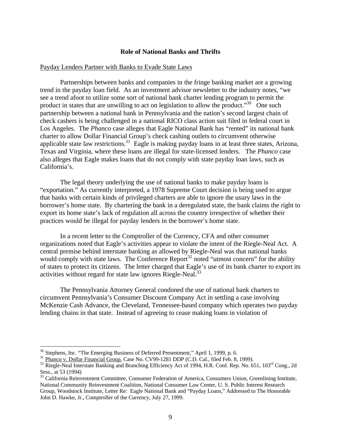# **Role of National Banks and Thrifts**

## Payday Lenders Partner with Banks to Evade State Laws

Partnerships between banks and companies in the fringe banking market are a growing trend in the payday loan field. As an investment advisor newsletter to the industry notes, "we see a trend afoot to utilize some sort of national bank charter lending program to permit the product in states that are unwilling to act on legislation to allow the product.<sup>30</sup> One such partnership between a national bank in Pennsylvania and the nation's second largest chain of check cashers is being challenged in a national RICO class action suit filed in federal court in Los Angeles. The *Phanco* case alleges that Eagle National Bank has "rented" its national bank charter to allow Dollar Financial Group's check cashing outlets to circumvent otherwise applicable state law restrictions.<sup>31</sup> Eagle is making payday loans in at least three states, Arizona, Texas and Virginia, where these loans are illegal for state-licensed lenders. The *Phanco* case also alleges that Eagle makes loans that do not comply with state payday loan laws, such as California's.

The legal theory underlying the use of national banks to make payday loans is "exportation." As currently interpreted, a 1978 Supreme Court decision is being used to argue that banks with certain kinds of privileged charters are able to ignore the usury laws in the borrower's home state. By chartering the bank in a deregulated state, the bank claims the right to export its home state's lack of regulation all across the country irrespective of whether their practices would be illegal for payday lenders in the borrower's home state.

In a recent letter to the Comptroller of the Currency, CFA and other consumer organizations noted that Eagle's activities appear to violate the intent of the Riegle-Neal Act. A central premise behind interstate banking as allowed by Riegle-Neal was that national banks would comply with state laws. The Conference Report<sup>32</sup> noted "utmost concern" for the ability of states to protect its citizens. The letter charged that Eagle's use of its bank charter to export its activities without regard for state law ignores Riegle-Neal.<sup>33</sup>

The Pennsylvania Attorney General condoned the use of national bank charters to circumvent Pennsylvania's Consumer Discount Company Act in settling a case involving McKenzie Cash Advance, the Cleveland, Tennessee-based company which operates two payday lending chains in that state. Instead of agreeing to cease making loans in violation of

<sup>&</sup>lt;sup>30</sup> Stephens, Inc. "The Emerging Business of Deferred Presentment," April 1, 1999, p. 6.

<sup>&</sup>lt;sup>31</sup> Phanco v. Dollar Financial Group. Case No. CV99-1281 DDP (C.D. Cal., filed Feb. 8, 1999).

<sup>&</sup>lt;sup>32</sup> Riegle-Neal Interstate Banking and Branching Efficiency Act of 1994, H.R. Conf. Rep. No. 651, 103<sup>rd</sup> Cong., 2d Sess., at 53 (1994)

<sup>&</sup>lt;sup>33</sup> California Reinvestment Committee, Consumer Federation of America, Consumers Union, Greenlining Institute, National Community Reinvestment Coalition, National Consumer Law Center, U. S. Public Interest Research Group, Woodstock Institute, Letter Re: Eagle National Bank and "Payday Loans," Addressed to The Honorable John D. Hawke, Jr., Comptroller of the Currency, July 27, 1999.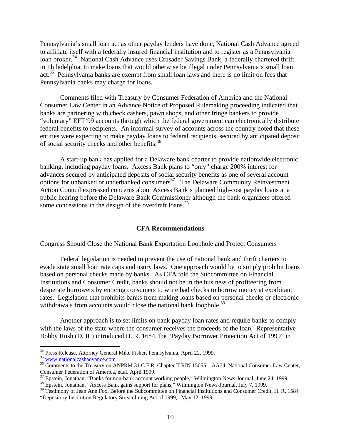Pennsylvania's small loan act as other payday lenders have done, National Cash Advance agreed to affiliate itself with a federally insured financial institution and to register as a Pennsylvania loan broker.<sup>34</sup> National Cash Advance uses Crusader Savings Bank, a federally chartered thrift in Philadelphia, to make loans that would otherwise be illegal under Pennsylvania's small loan act.<sup>35</sup> Pennsylvania banks are exempt from small loan laws and there is no limit on fees that Pennsylvania banks may charge for loans.

Comments filed with Treasury by Consumer Federation of America and the National Consumer Law Center in an Advance Notice of Proposed Rulemaking proceeding indicated that banks are partnering with check cashers, pawn shops, and other fringe bankers to provide "voluntary" EFT'99 accounts through which the federal government can electronically distribute federal benefits to recipients. An informal survey of accounts across the country noted that these entities were expecting to make payday loans to federal recipients, secured by anticipated deposit of social security checks and other benefits.<sup>36</sup>

A start-up bank has applied for a Delaware bank charter to provide nationwide electronic banking, including payday loans. Axcess Bank plans to "only" charge 200% interest for advances secured by anticipated deposits of social security benefits as one of several account options for unbanked or underbanked consumers<sup>37</sup>. The Delaware Community Reinvestment Action Council expressed concerns about Axcess Bank's planned high-cost payday loans at a public hearing before the Delaware Bank Commissioner although the bank organizers offered some concessions in the design of the overdraft loans.<sup>38</sup>

## **CFA Recommendations**

#### Congress Should Close the National Bank Exportation Loophole and Protect Consumers

Federal legislation is needed to prevent the use of national bank and thrift charters to evade state small loan rate caps and usury laws. One approach would be to simply prohibit loans based on personal checks made by banks. As CFA told the Subcommittee on Financial Institutions and Consumer Credit, banks should not be in the business of profiteering from desperate borrowers by enticing consumers to write bad checks to borrow money at exorbitant rates. Legislation that prohibits banks from making loans based on personal checks or electronic withdrawals from accounts would close the national bank loophole.<sup>39</sup>

Another approach is to set limits on bank payday loan rates and require banks to comply with the laws of the state where the consumer receives the proceeds of the loan. Representative Bobby Rush (D, IL) introduced H. R. 1684, the "Payday Borrower Protection Act of 1999" in

<sup>&</sup>lt;sup>34</sup> Press Release, Attorney General Mike Fisher, Pennsylvania, April 22, 1999.

<sup>&</sup>lt;sup>35</sup> www.nationalcashadvance.com

<sup>&</sup>lt;sup>36</sup> Comments to the Treasury on ANPRM 31 C.F.R. Chapter II RIN 15055—AA74, National Consumer Law Center, Consumer Federation of America, et.al. April 1999.

<sup>&</sup>lt;sup>37</sup> Epstein, Jonathan, "Banks for non-bank account working people," Wilmington News-Journal, June 24, 1999.

<sup>&</sup>lt;sup>38</sup> Epstein, Jonathan, "Axcess Bank gains support for plans," Wilmington News-Journal, July 7, 1999.

<sup>&</sup>lt;sup>39</sup> Testimony of Jean Ann Fox, Before the Subcommittee on Financial Institutions and Consumer Credit, H. R. 1584 "Depository Institution Regulatory Streamlining Act of 1999," May 12, 1999.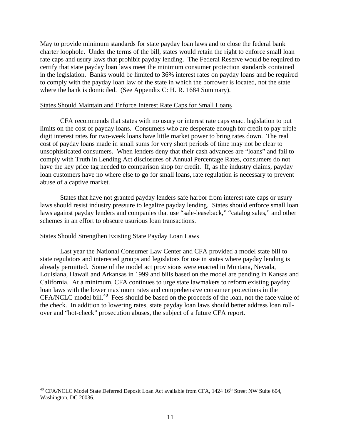May to provide minimum standards for state payday loan laws and to close the federal bank charter loophole. Under the terms of the bill, states would retain the right to enforce small loan rate caps and usury laws that prohibit payday lending. The Federal Reserve would be required to certify that state payday loan laws meet the minimum consumer protection standards contained in the legislation. Banks would be limited to 36% interest rates on payday loans and be required to comply with the payday loan law of the state in which the borrower is located, not the state where the bank is domiciled. (See Appendix C: H. R. 1684 Summary).

# States Should Maintain and Enforce Interest Rate Caps for Small Loans

CFA recommends that states with no usury or interest rate caps enact legislation to put limits on the cost of payday loans. Consumers who are desperate enough for credit to pay triple digit interest rates for two-week loans have little market power to bring rates down. The real cost of payday loans made in small sums for very short periods of time may not be clear to unsophisticated consumers. When lenders deny that their cash advances are "loans" and fail to comply with Truth in Lending Act disclosures of Annual Percentage Rates, consumers do not have the key price tag needed to comparison shop for credit. If, as the industry claims, payday loan customers have no where else to go for small loans, rate regulation is necessary to prevent abuse of a captive market.

States that have not granted payday lenders safe harbor from interest rate caps or usury laws should resist industry pressure to legalize payday lending. States should enforce small loan laws against payday lenders and companies that use "sale-leaseback," "catalog sales," and other schemes in an effort to obscure usurious loan transactions.

# States Should Strengthen Existing State Payday Loan Laws

 $\overline{a}$ 

Last year the National Consumer Law Center and CFA provided a model state bill to state regulators and interested groups and legislators for use in states where payday lending is already permitted. Some of the model act provisions were enacted in Montana, Nevada, Louisiana, Hawaii and Arkansas in 1999 and bills based on the model are pending in Kansas and California. At a minimum, CFA continues to urge state lawmakers to reform existing payday loan laws with the lower maximum rates and comprehensive consumer protections in the CFA/NCLC model bill.<sup>40</sup> Fees should be based on the proceeds of the loan, not the face value of the check. In addition to lowering rates, state payday loan laws should better address loan rollover and "hot-check" prosecution abuses, the subject of a future CFA report.

<sup>&</sup>lt;sup>40</sup> CFA/NCLC Model State Deferred Deposit Loan Act available from CFA, 1424 16<sup>th</sup> Street NW Suite 604, Washington, DC 20036.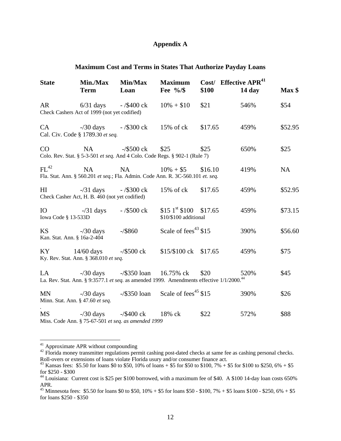# **Appendix A**

# **Maximum Cost and Terms in States That Authorize Payday Loans**

| <b>State</b>                | <b>Min./Max</b><br><b>Term</b>                                                                        | <b>Min/Max</b><br>Loan     | <b>Maximum</b><br>Fee $\frac{9}{6}$                                                                  | \$100   | Cost/ Effective APR <sup>41</sup><br>$14 \mathrm{day}$ | Max <sub>s</sub> |
|-----------------------------|-------------------------------------------------------------------------------------------------------|----------------------------|------------------------------------------------------------------------------------------------------|---------|--------------------------------------------------------|------------------|
|                             | AR 6/31 days - /\$400 ck<br>Check Cashers Act of 1999 (not yet codified)                              |                            | $10\% + $10$                                                                                         | \$21    | 546%                                                   | \$54             |
|                             | CA -/30 days -/\$300 ck 15% of ck<br>Cal. Civ. Code § 1789.30 et seq.                                 |                            |                                                                                                      | \$17.65 | 459%                                                   | \$52.95          |
| CO                          | NA                                                                                                    | $-\frac{$500}{x}$          | \$25<br>Colo. Rev. Stat. § 5-3-501 et seq. And 4 Colo. Code Regs. § 902-1 (Rule 7)                   | \$25    | 650%                                                   | \$25             |
| FL <sup>42</sup>            | NA                                                                                                    | NA                         | $10\% + $5$<br>Fla. Stat. Ann. § 560.201 et seq.; Fla. Admin. Code Ann. R. 3C-560.101 et. seq.       | \$16.10 | 419%                                                   | <b>NA</b>        |
| HI                          | Check Casher Act, H. B. 460 (not yet codified)                                                        | $-$ /31 days $-$ /\$300 ck | $15\%$ of ck                                                                                         | \$17.65 | 459%                                                   | \$52.95          |
| Iowa Code § 13-533D         | IO $-731 \text{ days}$ $-7500 \text{ ck}$                                                             |                            | $$15 \text{ }1^{\text{st}}$100 \text{ } $17.65$<br>\$10/\$100 additional                             |         | 459%                                                   | \$73.15          |
| Kan. Stat. Ann. § 16a-2-404 | $\text{KS}$ -/30 days                                                                                 | $-$ /\$860                 | Scale of fees <sup>43</sup> \$15                                                                     |         | 390%                                                   | \$56.60          |
|                             | KY 14/60 days -/\$500 ck<br>Ky. Rev. Stat. Ann. § 368.010 et seq.                                     |                            | \$15/\$100 ck \$17.65                                                                                |         | 459%                                                   | \$75             |
| LA                          | $-730 \text{ days}$ $-7350 \text{ loan}$ 16.75% ck                                                    |                            | La. Rev. Stat. Ann. § 9:3577.1 et seq. as amended 1999. Amendments effective 1/1/2000. <sup>44</sup> | \$20    | 520%                                                   | \$45             |
| <b>MN</b>                   | $-\frac{30}{3}$ days<br>Minn. Stat. Ann. § 47.60 et seq.                                              |                            | $-\frac{$350 \text{ loan}}{8}$ Scale of fees <sup>45</sup> \$15                                      |         | 390%                                                   | \$26             |
| MS                          | $-730 \text{ days}$ $-75400 \text{ ck}$ 18% ck<br>Miss. Code Ann. § 75-67-501 et seq. as amended 1999 |                            |                                                                                                      | \$22    | 572%                                                   | \$88             |

<sup>&</sup>lt;sup>41</sup> Approximate APR without compounding

 $\overline{a}$ 

<sup>42</sup> Florida money transmitter regulations permit cashing post-dated checks at same fee as cashing personal checks. Roll-overs or extensions of loans violate Florida usury and/or consumer finance act.

<sup>&</sup>lt;sup>43</sup> Kansas fees: \$5.50 for loans \$0 to \$50, 10% of loans + \$5 for \$50 to \$100, 7% + \$5 for \$100 to \$250, 6% + \$5 for \$250 - \$300

<sup>&</sup>lt;sup>44</sup> Louisiana: Current cost is \$25 per \$100 borrowed, with a maximum fee of \$40. A \$100 14-day loan costs 650% APR.

<sup>&</sup>lt;sup>45</sup> Minnesota fees: \$5.50 for loans \$0 to \$50, 10% + \$5 for loans \$50 - \$100, 7% + \$5 loans \$100 - \$250, 6% + \$5 for loans \$250 - \$350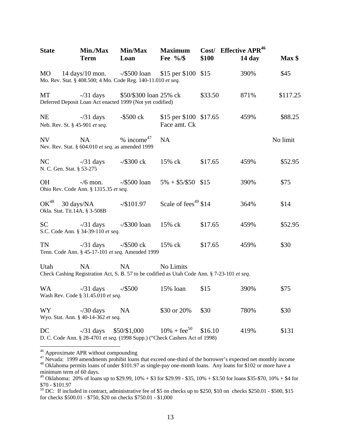| <b>State</b>                                | Min./Max<br><b>Term</b>                                        | Min/Max<br>Loan                                                                                           | <b>Maximum</b><br>Fee $\frac{9}{8}$    | Cost/<br>\$100 | <b>Effective APR<sup>46</sup></b><br>$14 \text{ day}$ | Max <sub>§</sub> |
|---------------------------------------------|----------------------------------------------------------------|-----------------------------------------------------------------------------------------------------------|----------------------------------------|----------------|-------------------------------------------------------|------------------|
| MO                                          | 14 days/10 mon. $-\frac{$500}{2}$ loan                         | Mo. Rev. Stat. § 408.500; 4 Mo. Code Reg. 140-11.010 et seq.                                              | \$15 per \$100 \$15                    |                | 390%                                                  | \$45             |
| MT                                          | $-$ /31 days                                                   | \$50/\$300 loan 25% ck<br>Deferred Deposit Loan Act enacted 1999 (Not yet codified)                       |                                        | \$33.50        | 871%                                                  | \$117.25         |
| <b>NE</b><br>Neb. Rev. St. § 45-901 et seq. | $-$ /31 days                                                   | $-$ \$500 ck                                                                                              | \$15 per \$100 \$17.65<br>Face amt. Ck |                | 459%                                                  | \$88.25          |
| <b>NV</b>                                   | <b>NA</b><br>Nev. Rev. Stat. § 604.010 et seq. as amended 1999 | $%$ income <sup>47</sup>                                                                                  | <b>NA</b>                              |                |                                                       | No limit         |
| NC<br>N. C. Gen. Stat. § 53-275             | $-$ /31 days                                                   | $-\frac{$300 \text{ c}}{k}$                                                                               | 15% ck                                 | \$17.65        | 459%                                                  | \$52.95          |
| <b>OH</b>                                   | $-$ /6 mon.<br>Ohio Rev. Code Ann. § 1315.35 et seq.           | $-\frac{$500}{\text{ loan}}$                                                                              | $5\% + $5/\$50$ \$15                   |                | 390%                                                  | \$75             |
| $OK^{48}$<br>Okla. Stat. Tit.14A, § 3-508B  | 30 days/NA                                                     | $-$ /\$101.97                                                                                             | Scale of fees <sup>49</sup> \$14       |                | 364%                                                  | \$14             |
| <b>SC</b>                                   | $-$ /31 days<br>S.C. Code Ann. § 34-39-110 et seq.             | $-\frac{$300}{\text{ loan}}$                                                                              | 15% ck                                 | \$17.65        | 459%                                                  | \$52.95          |
| <b>TN</b>                                   | $-$ /31 days                                                   | $-\frac{$500}{x}$<br>Tenn. Code Ann. § 45-17-101 et seq. Amended 1999                                     | 15% ck                                 | \$17.65        | 459%                                                  | \$30             |
| Utah                                        | <b>NA</b>                                                      | <b>NA</b><br>Check Cashing Registration Act, S. B. 57 to be codified as Utah Code Ann. § 7-23-101 et seq. | No Limits                              |                |                                                       |                  |
| <b>WA</b>                                   | $-$ /31 days<br>Wash Rev. Code § 31.45.010 et seq.             | $-$ /\$500                                                                                                | 15% loan                               | \$15           | 390%                                                  | \$75             |
| WY                                          | $-$ /30 days<br>Wyo. Stat. Ann. § 40-14-362 et seq.            | <b>NA</b>                                                                                                 | \$30 or 20%                            | \$30           | 780%                                                  | \$30             |
| DC                                          | $-$ /31 days                                                   | \$50/\$1,000<br>D. C. Code Ann. § 28-4701 et seq. (1998 Supp.) ("Check Cashers Act of 1998)               | $10\% + \text{fee}^{50}$               | \$16.10        | 419%                                                  | \$131            |

<sup>&</sup>lt;sup>46</sup> Approximate APR without compounding

<sup>&</sup>lt;sup>47</sup> Nevada: 1999 amendments prohibit loans that exceed one-third of the borrower's expected net monthly income

<sup>&</sup>lt;sup>48</sup> Oklahoma permits loans of under \$101.97 as single-pay one-month loans. Any loans for \$102 or more have a minimum term of 60 days.

<sup>&</sup>lt;sup>49</sup> Oklahoma: 20% of loans up to \$29.99, 10% + \$3 for \$29.99 - \$35, 10% + \$3.50 for loans \$35-\$70, 10% + \$4 for \$70 - \$101.97

 $50$  DC: If included in contract, administrative fee of \$5 on checks up to \$250, \$10 on checks \$250.01 - \$500, \$15 for checks \$500.01 - \$750, \$20 on checks \$750.01 - \$1,000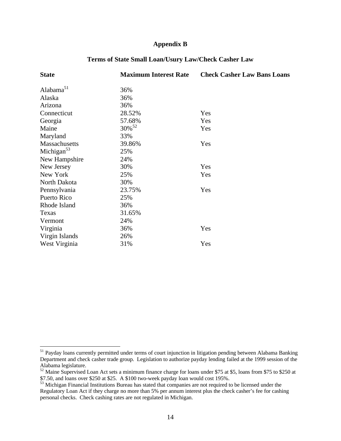# **Appendix B**

| <b>State</b>           | <b>Maximum Interest Rate</b> | <b>Check Casher Law Bans Loans</b> |
|------------------------|------------------------------|------------------------------------|
| Alabam $a^{51}$        | 36%                          |                                    |
| Alaska                 | 36%                          |                                    |
| Arizona                | 36%                          |                                    |
| Connecticut            | 28.52%                       | Yes                                |
| Georgia                | 57.68%                       | Yes                                |
| Maine                  | 30% <sup>52</sup>            | Yes                                |
| Maryland               | 33%                          |                                    |
| Massachusetts          | 39.86%                       | Yes                                |
| Michigan <sup>53</sup> | 25%                          |                                    |
| New Hampshire          | 24%                          |                                    |
| New Jersey             | 30%                          | Yes                                |
| New York               | 25%                          | Yes                                |
| North Dakota           | 30%                          |                                    |
| Pennsylvania           | 23.75%                       | Yes                                |
| Puerto Rico            | 25%                          |                                    |
| Rhode Island           | 36%                          |                                    |
| Texas                  | 31.65%                       |                                    |
| Vermont                | 24%                          |                                    |
| Virginia               | 36%                          | Yes                                |
| Virgin Islands         | 26%                          |                                    |
| West Virginia          | 31%                          | Yes                                |

# **Terms of State Small Loan/Usury Law/Check Casher Law**

<sup>&</sup>lt;sup>51</sup> Payday loans currently permitted under terms of court injunction in litigation pending between Alabama Banking Department and check casher trade group. Legislation to authorize payday lending failed at the 1999 session of the Alabama legislature.

 $52$  Maine Supervised Loan Act sets a minimum finance charge for loans under \$75 at \$5, loans from \$75 to \$250 at \$7.50, and loans over \$250 at \$25. A \$100 two-week payday loan would cost 195%.

<sup>&</sup>lt;sup>53</sup> Michigan Financial Institutions Bureau has stated that companies are not required to be licensed under the Regulatory Loan Act if they charge no more than 5% per annum interest plus the check casher's fee for cashing personal checks. Check cashing rates are not regulated in Michigan.